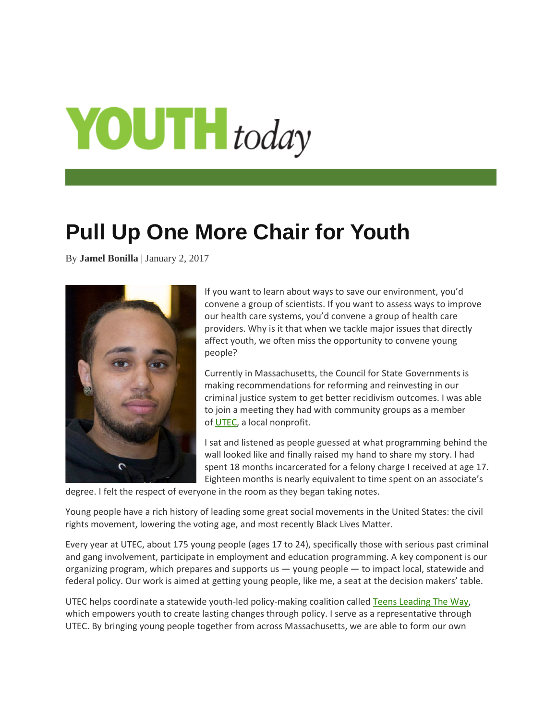## $\text{VOUT}$  today

## **Pull Up One More Chair for Youth**

By **Jamel Bonilla** | January 2, 2017



If you want to learn about ways to save our environment, you'd convene a group of scientists. If you want to assess ways to improve our health care systems, you'd convene a group of health care providers. Why is it that when we tackle major issues that directly affect youth, we often miss the opportunity to convene young people?

Currently in Massachusetts, the Council for State Governments is making recommendations for reforming and reinvesting in our criminal justice system to get better recidivism outcomes. I was able to join a meeting they had with community groups as a member of [UTEC,](http://www.utec-lowell.org/) a local nonprofit.

I sat and listened as people guessed at what programming behind the wall looked like and finally raised my hand to share my story. I had spent 18 months incarcerated for a felony charge I received at age 17. Eighteen months is nearly equivalent to time spent on an associate's

degree. I felt the respect of everyone in the room as they began taking notes.

Young people have a rich history of leading some great social movements in the United States: the civil rights movement, lowering the voting age, and most recently Black Lives Matter.

Every year at UTEC, about 175 young people (ages 17 to 24), specifically those with serious past criminal and gang involvement, participate in employment and education programming. A key component is our organizing program, which prepares and supports us — young people — to impact local, statewide and federal policy. Our work is aimed at getting young people, like me, a seat at the decision makers' table.

UTEC helps coordinate a statewide youth-led policy-making coalition called [Teens Leading The Way,](http://www.teensleadingtheway.org/) which empowers youth to create lasting changes through policy. I serve as a representative through UTEC. By bringing young people together from across Massachusetts, we are able to form our own